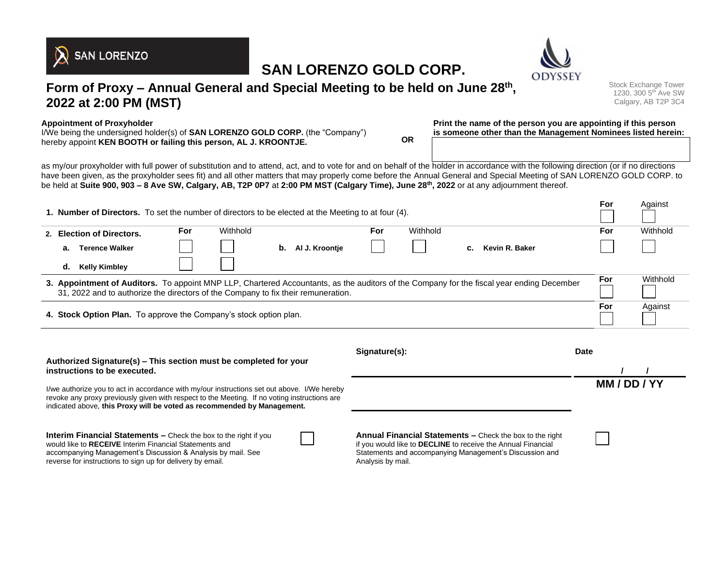# **SAN LORENZO GOLD CORP.**





Stock Exchange Tower 1230, 300 5th Ave SW Calgary, AB T2P 3C4

**For** Against

**Appointment of Proxyholder** I/We being the undersigned holder(s) of **SAN LORENZO GOLD CORP.** (the "Company") hereby appoint **KEN BOOTH or failing this person, AL J. KROONTJE. OR**

**Print the name of the person you are appointing if this person is someone other than the Management Nominees listed herein:**

as my/our proxyholder with full power of substitution and to attend, act, and to vote for and on behalf of the holder in accordance with the following direction (or if no directions have been given, as the proxyholder sees fit) and all other matters that may properly come before the Annual General and Special Meeting of SAN LORENZO GOLD CORP. to be held at **Suite 900, 903 – 8 Ave SW, Calgary, AB, T2P 0P7** at **2:00 PM MST (Calgary Time), June 28th, 2022** or at any adjournment thereof.

| <b>1. Number of Directors.</b> To set the number of directors to be elected at the Meeting to at four (4).                                                                                                                     |                             |     |          |    |                |     |          | ror | Against        |     |          |
|--------------------------------------------------------------------------------------------------------------------------------------------------------------------------------------------------------------------------------|-----------------------------|-----|----------|----|----------------|-----|----------|-----|----------------|-----|----------|
|                                                                                                                                                                                                                                | 2. Election of Directors.   | For | Withhold |    |                | For | Withhold |     |                | For | Withhold |
|                                                                                                                                                                                                                                | <b>Terence Walker</b><br>а. |     |          | b. | Al J. Kroontie |     |          | C.  | Kevin R. Baker |     |          |
|                                                                                                                                                                                                                                | <b>Kelly Kimbley</b><br>d.  |     |          |    |                |     |          |     |                |     |          |
| 3. Appointment of Auditors. To appoint MNP LLP, Chartered Accountants, as the auditors of the Company for the fiscal year ending December<br>31, 2022 and to authorize the directors of the Company to fix their remuneration. |                             |     |          |    |                |     |          | For | Withhold       |     |          |
| 4. Stock Option Plan. To approve the Company's stock option plan.                                                                                                                                                              |                             |     |          |    |                |     |          | For | Against        |     |          |
|                                                                                                                                                                                                                                |                             |     |          |    |                |     |          |     |                |     |          |

| Authorized Signature(s) – This section must be completed for your                                                                                                                                                                                                      | Signature(s):                                                                                                                                                                                            | <b>Date</b> |
|------------------------------------------------------------------------------------------------------------------------------------------------------------------------------------------------------------------------------------------------------------------------|----------------------------------------------------------------------------------------------------------------------------------------------------------------------------------------------------------|-------------|
| instructions to be executed.                                                                                                                                                                                                                                           |                                                                                                                                                                                                          |             |
| I/we authorize you to act in accordance with my/our instructions set out above. I/We hereby<br>revoke any proxy previously given with respect to the Meeting. If no voting instructions are<br>indicated above, this Proxy will be voted as recommended by Management. |                                                                                                                                                                                                          | MM/DD/YY    |
| <b>Interim Financial Statements –</b> Check the box to the right if you<br>would like to RECEIVE Interim Financial Statements and<br>accompanying Management's Discussion & Analysis by mail. See<br>reverse for instructions to sign up for delivery by email.        | Annual Financial Statements - Check the box to the right<br>if you would like to DECLINE to receive the Annual Financial<br>Statements and accompanying Management's Discussion and<br>Analysis by mail. |             |